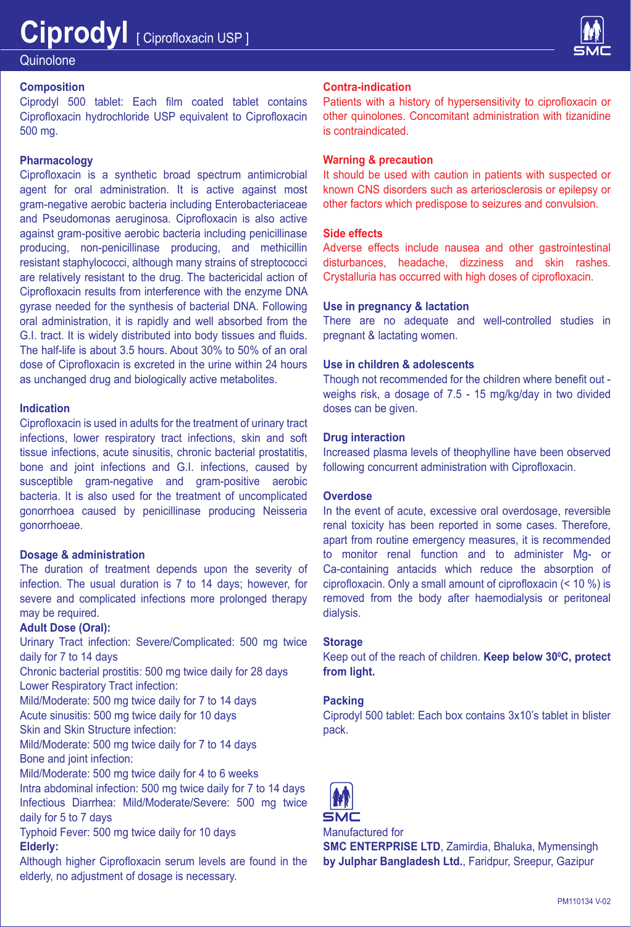

# **Quinolone**

# **Composition**

Ciprodyl 500 tablet: Each film coated tablet contains Ciprofloxacin hydrochloride USP equivalent to Ciprofloxacin 500 mg.

## **Pharmacology**

Ciprofloxacin is a synthetic broad spectrum antimicrobial agent for oral administration. It is active against most gram-negative aerobic bacteria including Enterobacteriaceae and Pseudomonas aeruginosa. Ciprofloxacin is also active against gram-positive aerobic bacteria including penicillinase producing, non-penicillinase producing, and methicillin resistant staphylococci, although many strains of streptococci are relatively resistant to the drug. The bactericidal action of Ciprofloxacin results from interference with the enzyme DNA gyrase needed for the synthesis of bacterial DNA. Following oral administration, it is rapidly and well absorbed from the G.I. tract. It is widely distributed into body tissues and fluids. The half-life is about 3.5 hours. About 30% to 50% of an oral dose of Ciprofloxacin is excreted in the urine within 24 hours as unchanged drug and biologically active metabolites.

## **Indication**

Ciprofloxacin is used in adults for the treatment of urinary tract infections, lower respiratory tract infections, skin and soft tissue infections, acute sinusitis, chronic bacterial prostatitis, bone and joint infections and G.I. infections, caused by susceptible gram-negative and gram-positive aerobic bacteria. It is also used for the treatment of uncomplicated gonorrhoea caused by penicillinase producing Neisseria gonorrhoeae.

## **Dosage & administration**

The duration of treatment depends upon the severity of infection. The usual duration is 7 to 14 days; however, for severe and complicated infections more prolonged therapy may be required.

#### **Adult Dose (Oral):**

Urinary Tract infection: Severe/Complicated: 500 mg twice daily for 7 to 14 days

Chronic bacterial prostitis: 500 mg twice daily for 28 days Lower Respiratory Tract infection:

Mild/Moderate: 500 mg twice daily for 7 to 14 days Acute sinusitis: 500 mg twice daily for 10 days

Skin and Skin Structure infection:

Mild/Moderate: 500 mg twice daily for 7 to 14 days Bone and joint infection:

Mild/Moderate: 500 mg twice daily for 4 to 6 weeks

Intra abdominal infection: 500 mg twice daily for 7 to 14 days Infectious Diarrhea: Mild/Moderate/Severe: 500 mg twice daily for 5 to 7 days

Typhoid Fever: 500 mg twice daily for 10 days **Elderly:**

Although higher Ciprofloxacin serum levels are found in the elderly, no adjustment of dosage is necessary.

#### **Contra-indication**

Patients with a history of hypersensitivity to ciprofloxacin or other quinolones. Concomitant administration with tizanidine is contraindicated.

#### **Warning & precaution**

It should be used with caution in patients with suspected or known CNS disorders such as arteriosclerosis or epilepsy or other factors which predispose to seizures and convulsion.

# **Side effects**

Adverse effects include nausea and other gastrointestinal disturbances, headache, dizziness and skin rashes. Crystalluria has occurred with high doses of ciprofloxacin.

#### **Use in pregnancy & lactation**

There are no adequate and well-controlled studies in pregnant & lactating women.

#### **Use in children & adolescents**

Though not recommended for the children where benefit out weighs risk, a dosage of 7.5 - 15 mg/kg/day in two divided doses can be given.

#### **Drug interaction**

Increased plasma levels of theophylline have been observed following concurrent administration with Ciprofloxacin.

#### **Overdose**

In the event of acute, excessive oral overdosage, reversible renal toxicity has been reported in some cases. Therefore, apart from routine emergency measures, it is recommended to monitor renal function and to administer Mg- or Ca-containing antacids which reduce the absorption of ciprofloxacin. Only a small amount of ciprofloxacin (< 10 %) is removed from the body after haemodialysis or peritoneal dialysis.

## **Storage**

Keep out of the reach of children. **Keep below 30ºC, protect from light.**

#### **Packing**

Ciprodyl 500 tablet: Each box contains 3x10's tablet in blister pack.



Manufactured for

**SMC ENTERPRISE LTD**, Zamirdia, Bhaluka, Mymensingh **by Julphar Bangladesh Ltd.**, Faridpur, Sreepur, Gazipur